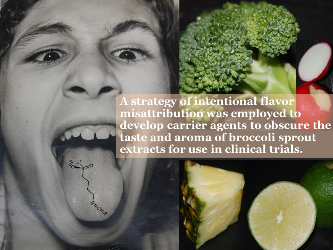**A strategy of intentional flavor** misattribution was employed to develop carrier agents to obscure the taste and aroma of broccoli sprout extracts for use in clinical trials.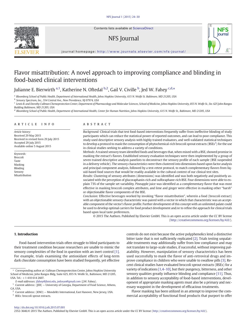

Contents lists available at ScienceDirect

# NFS Journal



journal homepage: [http://www.journals.elsevier.com/nfs-journal/](http://www.journals.elsevier.com/nfsournal/)

# Flavor misattribution: A novel approach to improving compliance and blinding in food-based clinical interventions

## Julianne E. Bierwirth <sup>a, 1</sup>, Katherine N. Oftedal <sup>b,2</sup>, Gail V. Civille <sup>b</sup>, Jed W. Fahey <sup>c,d,\*</sup>

a Bloomberg School of Public Health, Department of International Health, Johns Hopkins University, 615 N. Wolfe St. Baltimore, MD 21205, USA

<sup>b</sup> Sensory Spectrum, Inc., 554 Central Ave., New Providence, NJ 07974, USA

c Lewis B. and Dorothy Cullman Chemoprotection Center, Department of Pharmacology and Molecular Sciences, School of Medicine, Johns Hopkins University, 855 N. Wolfe St., Ste. 625 John Rangos Building Baltimore, MD 21205, USA

<sup>d</sup> Bloomberg School of Public Health, Department of International Health, Center for Human Nutrition, Johns Hopkins University, 615 N. Wolfe St., Baltimore, MD 21205, USA

#### article info abstract

Article history: Received 29 May 2015 Received in revised form 29 July 2015 Accepted 29 July 2015 Available online 5 August 2015

Keywords: Broccoli Taste Masking Blinding Sensory Misattribution

Background: Clinical trials that test food-based interventions frequently suffer from ineffective blinding of study participants which can reduce the statistical power of reported outcomes, and can lead to poor compliance. This study used descriptive sensory analysis with highly trained evaluators, and well-validated statistical techniques to develop a protocol to mask the consumption of phytochemical-rich broccoli sprout extracts ( $BSEs<sup>3</sup>$ ) for the use in clinical studies seeking to address a variety of conditions.

Methods: A trained sensory team identified foods and beverages that, when mixed with a BSE, showed promise in masking the extract's flavors. Established sensory evaluation techniques were then implemented by a group of seven trained descriptive analysis panelists to deconstruct the sensory profile of each sample (BSE suspended in a delivery vehicle). The sensory characteristics were then clustered into dimensions based upon factor analysis and principal component analysis, followed by a test-retest protocol, to match complementary flavors from liquid-based food sources that would be readily available in the cultural context of our clinical test sites.

Results: Clustering of sensory attributes (dimensions) was identified and was both negatively and positively associated with the perception of glucoraphanin-rich and sulforaphane-rich BSE. Four dimensions were able to explain 73% of the sample set variability. Pineapple juice was identified as a complementary flavor that was most effective in masking broccoli complex attributes, and lime and ginger were effective in masking other "harsh" or objectionable flavor components of the BSE.

Conclusion: Effective beverages worked by invoking "flavor misattribution", wherein a food (broccoli extract) with an objectionable sensory characteristic was paired with a vector in which that characteristic was an acceptable component of the vector's flavor profile. Further development of this concept with an unlimited palate could be used to develop optimal carriers for food product development and/or to refine the approach for clinical trials based upon local taste preferences.

© 2015 The Authors. Published by Elsevier GmbH. This is an open access article under the CC BY license [\(http://creativecommons.org/licenses/by/4.0/](http://creativecommons.org/licenses/by/4.0/)).

#### 1. Introduction

Food-based intervention trials often struggle to blind participants to their treatment condition because researchers are unable to mimic the sensory complexities of the food in question with an inert control [\[1\].](#page-6-0) For example, trials examining the antioxidant effects of long-term dark chocolate consumption have been studied frequently, yet effective controls do not exist because the active polyphenolics lend a distinctive bitter taste that is not sufficiently replicated [\[2\]](#page-6-0). Trials testing unpalatable treatments may additionally suffer from low compliance and may not translate to large-scale studies, if successful, without improving palatability. However, manipulation of sensory characteristics has been used successfully to mask the flavor of anti-retroviral drugs and improve compliance in children who were unable to swallow pills [\[3\]](#page-6-0). Recent clinical studies have evaluated broccoli sprout extracts (BSEs) for a variety of indications [\[1,4](#page-6-0)–10], but their pungency, bitterness, and other sensory qualities greatly influence blinding and compliance [\[11\].](#page-7-0) Thus, in addition to sensory acceptability of food-based interventions, development of appropriate masking agents must also be a primary and necessary waypoint in the development of efficacious treatments.

Flavor masking has been utilized in an attempt to improve the commercial acceptability of functional food products that purport to offer

2352-3646/© 2015 The Authors. Published by Elsevier GmbH. This is an open access article under the CC BY license [\(http://creativecommons.org/licenses/by/4.0/\)](http://creativecommons.org/licenses/by/4.0/).

<sup>⁎</sup> Corresponding author at: Cullman Chemoprotection Center, Johns Hopkins University School of Medicine, John Rangos Bldg, Suite 625, 855 N. Wolfe St., Baltimore, MD 21205,  $USA. Tel· + 1 410 614 2607$ 

E-mail addresses: [jfahey@jhmi.edu](mailto:jfahey@jhmi.edu), [jedosan@gmail.com](mailto:jedosan@gmail.com) (J.W. Fahey).

<sup>&</sup>lt;sup>1</sup> Current address:  $(JEB)$  - University of Georgia, Department of Food Science, Athens, GA, USA.

<sup>2</sup> Current address: (KNO) — Mondelēz International, East Hanover, New Jersey, USA.

<sup>&</sup>lt;sup>3</sup> BSEs: broccoli sprout extracts.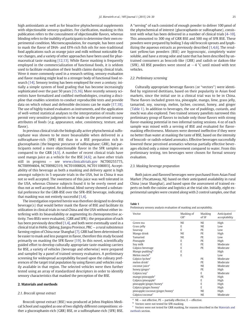<span id="page-2-0"></span>high antioxidants as well as for bioactive phytochemical supplements with objectionable sensory qualities. For clarification, masking in this publication refers to the concealment of objectionable flavors, whereas blinding refers to the inability of participants to determine their own experimental condition. Microencapsulation, for example, has been used to mask the flavor of DHA- and EPA-rich fish oils for non-traditional food applications such as orange juice and milk without noticeable flavor changes, and a variety of other approaches have been used for pharmaceutical taste masking [\[12,13\].](#page-7-0) While flavor masking is frequently employed in the commercialization of functional foods, it is seldom used to facilitate evaluation of their health claims during clinical trials. Were it more commonly used in a research setting, sensory evaluation and flavor masking might lead to a stronger body of functional food research [\[14\].](#page-7-0) Sensory testing has been employed for over a century; initially a simple system of food grading that has become increasingly sophisticated over the past 50 years [\[15,16\]](#page-7-0). More recently sensory scientists have formalized and codified methodologies, creating a discipline that enables scientists to conduct reproducible tests and provide data on which robust and defensible decisions can be made [\[17,18\].](#page-7-0) The use of highly trained evaluators as instruments, and the application of well-vetted statistical analyses to the interpretation of results now permit very sensitive judgments to be made on the perceived sensory attributes of foods (e.g. appearance, odor, consistency, texture, and flavor).

In previous clinical trials the biologically active phytochemical sulforaphane was shown to be more bioavailable when delivered in a sulforaphane-rich (SFR) BSE than in a BSE preparation rich in glucoraphanin (the biogenic precursor of sulforaphane; GRR), but participants noted a more objectionable flavor in the SFR samples as compared to the GRR [\[4,5\]](#page-6-0). A number of recent clinical trials have used mango juice as a vehicle for the BSE [\[4,6\];](#page-6-0) as have other trials still in progress — see [www.clinicaltrials.gov](http://www.clinicaltrials.gov) NCT00255775, NCT00994604, NCT00982319, NCT01008826, NCT01108003]. Acceptability of this beverage as both a masking and delivery agent is high amongst subjects in 5 separate trials in the USA, but in China it was not so well accepted. The sweetness of this juice was well tolerated in the USA, whereas Chinese subjects found it to be overly sweet and thus not as well accepted. An informal, blind survey showed a substantial preference for the GRR-BSE over the SFR–BSE beverage, indicating that masking was not entirely successful [\[1,4\].](#page-6-0)

The investigation reported herein was therefore designed to develop beverage(s) that would better mask the flavor of BSE and facilitate its utilization in clinical trials in rural China and the USA without either interfering with its bioavailability or augmenting its chemoprotective activity. Two BSEs were evaluated, (GRR and SFR); the preparation of each has been previously described [\[1,4\],](#page-6-0) and both were eventually used in a clinical trial in HeHe, Qidong, Jiangsu Province, PRC — a rural subsistence farming region of China near Shanghai [\[7\].](#page-7-0) GRR had been determined to be easier to mask and less pungent in flavor, therefore this study focused primarily on masking the SFR flavor [\[19\].](#page-7-0) In this novel, scientifically guided effort to develop culturally appropriate taste-masking carriers for BSE, a variety of vehicles (beverage and otherwise) were prepared and sampled by a panel of trained sensory evaluators. A preliminary screening for widespread acceptability focused upon the culinary preferences of the target trial population by using flavors and vehicles readily available in that region. The selected vehicles were then further tested using an array of standardized descriptors in order to identify sensory characteristics that masked the perception of the BSE.

#### 2. Materials and methods

#### 2.1. Broccoli sprout extract

Broccoli sprout extract (BSE) was produced at Johns Hopkins Medical School and supplied as one of two slightly different compositions: either a glucoraphanin-rich (GRR) BSE, or a sulforaphane-rich (SFR) BSE. A "serving" of each consisted of enough powder to deliver 100 μmol of the phytochemical of interest (glucoraphanin or sulforaphane), consistent with what has been delivered in a number of clinical trials [4–[10\].](#page-6-0) This amounted to 300 mg of GRR BSE and 500 mg of SFR BSE. These powders were prepared by boiling 3 day old broccoli sprouts and lyophilizing the aqueous extracts as previously described [\[1,4,6\]](#page-6-0). The resultant yellow/tan powders (BSE) are hygroscopic, completely water soluble, and have a strong odor and taste that has been described by untrained consumers as broccoli-like (GRR) and radish or daikon-like (SFR). All BSE powders were stored at  $-4$  °C until mixed with test vehicles.

### 2.2. Preliminary screening

Culturally appropriate beverage flavors (or "vectors") were identified by registered dietitians, based on their popularity in Asian food markets, since the initial use in a clinical trial was to be in China. These flavors included green tea, pineapple, mango, lime, grass jelly, tamarind, soy, soursop, melon, lychee, coconut, honey, and ginger (Table 1). In addition to beverages, the use of puddings, custards, and mochi was also explored. Two trained sensory panelists narrowed this preliminary group of flavors to include only those flavors with strong flavor-masking potential in two informal tasting sessions. 4 oz of each sample was mixed with a serving of BSE and evaluated for flavormasking effectiveness. Mixtures were deemed ineffective if they were no better than water at masking the taste of BSE, based on the intensity of broccoli- or radish-related aromatics. Effective beverages successfully lowered these perceived aromatics whereas partially effective beverages elicited only a minor improvement compared to water. From this preliminary testing, ten beverages were chosen for formal sensory evaluation.

#### 2.3. Masking beverage preparation

Both juices and flavored beverages were purchased from Asian Food Market (Piscattaway, NJ) based on their anticipated availability in rural China (near Shanghai), and based upon the assessment of trained experts on both the cuisine and logistics at the trial site. Initially, eight experimental samples were created along with 2 control samples, one that

#### Table 1

| Preliminary sensory analysis evaluation of masking and acceptability. |  |  |  |
|-----------------------------------------------------------------------|--|--|--|
|                                                                       |  |  |  |

| Vector                                      | Masking of<br>GR <sup>a</sup> | Masking<br>of SF | Anticipated<br>acceptability |
|---------------------------------------------|-------------------------------|------------------|------------------------------|
| Green tea                                   | <b>NE</b>                     | <b>NE</b>        | High                         |
| Grass jelly                                 | E                             | <b>NE</b>        | Low                          |
| Soursop                                     | E                             | PE               | Low                          |
| Mango drink                                 | <b>NE</b>                     | PE               | High                         |
| Tamarind                                    | <b>NE</b>                     | PE               | Low                          |
| Pineapple                                   | E                             | PE               | High                         |
| Soy milk                                    | E                             | PE               | Moderate                     |
| Calpico beverage                            | E                             | PE               | Moderate                     |
| Mango pudding <sup>b</sup>                  | E                             |                  | High                         |
| Melon mochi <sup>b</sup>                    | E                             |                  | Low                          |
| Calpico lychee <sup>c</sup>                 |                               | PE               | Moderate                     |
| melon drink <sup>c</sup>                    |                               | PE               | Moderate                     |
| coconut juice <sup>c</sup>                  |                               | <b>NE</b>        | Moderate                     |
| honey/ginger <sup>c</sup>                   |                               | PE               | High                         |
| Calpico/soy $c$                             |                               | E                | Moderate                     |
| mango/pineapple <sup>c</sup>                |                               | PE               | High                         |
| Calpico/pineapple <sup>c</sup>              |                               | E                | High                         |
| pineapple/ginger/honey <sup>c</sup>         |                               | E                | High                         |
| Calpico/ginger/honey $c$                    |                               | E                | High                         |
| pineapple/coconut/ginger/honey <sup>c</sup> |                               | <b>NE</b>        | High                         |
| Calpico/coconut <sup>c</sup>                |                               | NE               | Moderate                     |

 $NE$  – not effective,  $PE$  – partially effective,  $E$  – effective.

**b** Vectors were not tested for SFR masking.

 $c$  Vectors were not tested for GRR masking, for reasons described in the Materials and methods section.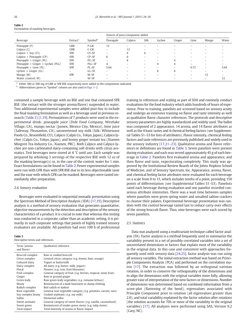<span id="page-3-0"></span>

| Table 2 |  |  |
|---------|--|--|
|         |  |  |

|                                   |                      |                     | Ounces of juice/component added |                          |                          |        |        |                          |                          |                          |
|-----------------------------------|----------------------|---------------------|---------------------------------|--------------------------|--------------------------|--------|--------|--------------------------|--------------------------|--------------------------|
| Beverage                          | Extract <sup>a</sup> | Symbol <sup>b</sup> | Pineapple                       | Calpico                  | Silk                     | Lychee | Ginger | Lime                     | Mango                    | Water                    |
| Pineapple (P)                     | GRR                  | $P-GR$              | 12                              | $\overline{\phantom{0}}$ |                          |        |        |                          |                          |                          |
| Calpico $(C)$                     | GRR                  | $C$ -GR             | $-$                             | 12                       | $\overline{\phantom{0}}$ |        |        |                          |                          |                          |
| Calpico + Soy $(CS)$              | <b>SFR</b>           | $CS-SF$             | $\overline{\phantom{0}}$        | 6                        | 6                        | -      |        |                          |                          |                          |
| $Calpico + Pineapple (CP)$        | <b>SFR</b>           | $CP-SF$             | 6                               | h                        |                          |        |        |                          |                          |                          |
| Pineapple + Ginger (PG)           | <b>SFR</b>           | PG-SF               |                                 | 8                        |                          |        |        |                          |                          |                          |
| Pineapple + Ginger + Lychee (PLG) | <b>SFR</b>           | PLG-SF              | 4                               |                          |                          | 4      | 4      |                          |                          | -                        |
| $Pineapple + Line (PL)$           | <b>SFR</b>           | PL-SF               | 5.64                            |                          |                          |        | -      | 0.72                     | $\overline{\phantom{m}}$ | 5.64                     |
| $L$ ychee + Ginger ( $LG$ )       | $-$                  | $LG-SF$             | $\overline{\phantom{0}}$        |                          | $\overline{\phantom{0}}$ | 8      | 4      | $\overline{\phantom{0}}$ |                          | $\overline{\phantom{0}}$ |
| Mango (M)                         | <b>SFR</b>           | $M-SF$              |                                 |                          |                          |        |        | $\overline{\phantom{0}}$ | 12                       | $\overline{\phantom{0}}$ |
| Water (control; W)                | $-$                  | $W-SF$              | $\overline{\phantom{0}}$        |                          |                          |        |        |                          | $\overline{\phantom{m}}$ | 12                       |

<sup>1</sup> Either 300 or 500 mg of GRR or SFR BSE respectively were added to the components indicated.

<sup>b</sup> Abbreviations given in "Symbol" column are also used in [Figs. 1](#page-5-0)–2.

contained a sample beverage with no BSE and one that contained SFR BSE (the extract with the stronger aroma/flavor) suspended in water. Two additional experimental samples were added post-hoc to include the final masking formulation as well as a beverage used in previous research (Table 2) [\[1,19\].](#page-6-0) Permutations of 7 products were used in the experimental drink: pineapple juice (Dole Food Company, Westlake Village, CA), mango nectar (Jumex, Mexico City, Mexico), lime juice (Safeway, Pleasanton, CA), unsweetened soy milk (Silk; Whitewave Foods Co., Broomfield, CO), Calpico (Calpis Co., Tokyo, Japan), Calpico lychee (Calpis Co., Tokyo, Japan), and honey ginger instant tea (Xiamen Mingren Tea Industry Co., Xiamen, PRC). Both Calpico and Calpico lychee are non-carbonated dairy-containing soft drinks with citrus aromatics. Test beverages were stored at 4 °C until use. Each sample was prepared by whisking 3 servings of the respective BSE with 12 oz of the masking beverage(s) or, in the case of the control, water for 1 min. Exact formulations can be found in Table 2. Fewer experimental samples were run with GFR than with SFR BSE due to its less objectionable taste and the ease with which GFR can be masked. Beverages were tasted immediately after preparation.

#### 2.4. Sensory evaluation

Beverages were evaluated in sequential monadic presentation using the Spectrum Method of Descriptive Analysis (SDA) [\[17,19\]](#page-7-0). Descriptive analysis is a method of sensory evaluation that generates quantitative, objective measurements by the detection and description of the sensory characteristics of a product. It is crucial to note that whereas this testing was conducted in a corporate, rather than an academic setting, it is primarily in such corporate settings that panels of highly trained sensory evaluators are available. All panelists had over 100 h of professional

#### Table 3

Descriptive terms and references.

| Term (aroma<br>and flavor) | Qualitative reference                                           |
|----------------------------|-----------------------------------------------------------------|
| Broccoli complex           | Raw or cooked broccoli                                          |
| Citrus complex             | General citrus category (e.g. lemon, lime, orange)              |
| Cultured dairy             | Yogurt or buttermilk                                            |
| Dairy complex              | All dairy (e.g. butter, milk, yogurt)                           |
| Floral                     | Flowers (e.g. rose, fruit blossoms)                             |
| Fruit complex              | General category of fruit (e.g. berries, tropical, stone fruit) |
| Ginger                     | Raw or ground ginger                                            |
| Green leafy                | Raw green leafy vegetables (e.g. romaine lettuce)               |
| Musty                      | Reminiscent of a dank basement or damp clothing                 |
| Radish complex             | Red radish or daikon                                            |
| Root vegetable             | General root vegetable category (e.g. potatoes, carrots, taro)  |
| Soy complex beany          | Cooked soybeans (e.g. soy milk)                                 |
| Sulfur                     | Elemental sulfur                                                |
| Sweet aromatic             | General category of sweet flavors (e.g. vanilla, caramelized)   |
| Sweet green                | Reminiscent of tender green stems (e.g. tulip stems)            |
| Total impact               | Total intensity of aroma or flavor impact                       |

training in references and scaling as part of SDA and routinely conduct evaluations for the food industry which adds hundreds of hours of experience. Prior to training, panelists are screened based on sensory acuity and undergo an extensive training on flavor and taste intensity as well as qualitative flavor character references. The protocols and descriptive sensory parameters are highly standardized and widely used. The ballot was composed of 2 appearance, 14 aroma, and 14 flavor attributes as well as the 4 basic tastes and 4 chemical feeling factors (see Supplemental Tables S1–S3 for lists of attributes). Flavor intensity, chemical feeling factors and taste references are previously published and widely used in the sensory industry [\[17,21](#page-7-0)–23]. Qualitative aroma and flavor references or definitions are found in Table 3. Seven panelists were present during evaluation, and each was served approximately 45 g of each beverage in Table 2. Panelists first evaluated aroma and appearance, and then flavor and taste, expectorating completely. This study was approved by the Institutional Review Boards of the Johns Hopkins School of Medicine, and of Sensory Spectrum, Inc. Appearance, aroma, flavor, and chemical feeling factor attributes were evaluated for each beverage on a scale from 0 to 15, which includes tenths of a point, providing 150 points of differentiation (see Supplemental Tables S1–S3). Panelists rated each beverage during evaluation and one panelist recorded consensus attribute intensities. There was a wait time between samples where panelists were given spring water and unsalted saltine crackers to cleanse their palates. Experimental beverage presentation was random with the control beverage tasted last to reduce carry-over effects of the strong broccoli flavor. Thus, nine beverages were each scored by seven panelists.

#### 2.5. Statistics

Data was analyzed using a multivariate technique called factor analysis (FA). Factor analysis is a method frequently used to summarize the variability present in a set of possibly correlated variables into a set of uncorrelated dimensions or factors that explain most of the variability in the original data. In this case and consistent with approaches frequently used with sensory data [\[24,25\],](#page-7-0) factor analysis was run using all sensory variables. The initial extraction method was based on Principle Components Analysis (PCA) and performed on the correlation matrix [\[17\].](#page-7-0) The extraction was followed by an orthogonal varimax rotation, in order to conserve the orthogonality of the dimensions and to align the dimensions with the original variables more fully, allowing greater ease of interpretation of the new factors or dimensions. Number of dimensions was determined based on combined information from a scree-plot (flattening of the bend), eigenvalues associated with Principle Component prior to rotation (all eigenvalues greater than 2.0), and total variability explained by the factor solution after rotations (the solution accounts for 70% or more of the variability in the original variables) [\[17\].](#page-7-0) All analyses were performed using SAS, Version 9.2 (Cary, NC).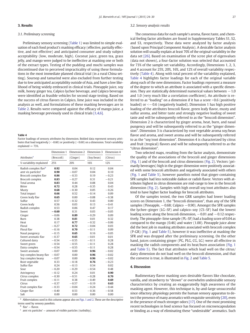#### <span id="page-4-0"></span>3.1. Preliminary screening

Preliminary sensory screening ([Table 1](#page-2-0)) was limited to simple evaluation of each food product's masking efficacy (effective, partially effective, and not effective) and anticipated consumer and study subject acceptability (low, moderate, high). Coconut juice, green tea, grass jelly, and mango were judged to be ineffective at masking one or both of the extract types. Testing of the pudding and mochi samples was discontinued due to perceived impracticality of using these formulations in the most immediate planned clinical trial (in a rural China setting). Soursop and tamarind were also excluded from further testing due to low anticipated acceptability outside of Asia, and have a low likelihood of being widely embraced in clinical trials. Pineapple juice, soy milk, honey ginger tea, Calpico lychee beverage, and Calpico beverage were identified as feasible vehicles for second stage testing. Based on the success of citrus flavors in Calpico, lime juice was included in the analysis as well, and formulations of these masking beverages are in [Table 2.](#page-3-0) Results were compared against the efficacy of mango juice, a masking beverage previously used in clinical trials [\[1,4,6\].](#page-6-0)

#### Table 4

Factor loadings of sensory attributes by dimension. Bolded data represent sensory attributes that load negatively ( $\le$  -0.60) or positively ( $\ge$  0.60) on a dimension. Total variability explained  $= 73%$ .

|                                | Dimension 1 | Dimension 2 | Dimension 3 | Dimension 4 |
|--------------------------------|-------------|-------------|-------------|-------------|
| Attributes <sup>a</sup>        | (Broccoli)  | (Ginger)    | (Soy/bean)  | (Citrus)    |
| % variability explained        | 25%         | 20%         | 16%         | 12%         |
| Radish complex flavb           | 0.92        | 0.04        | 0.12        | 0.04        |
| amt vis particles <sup>c</sup> | 0.90        | $-0.07$     | 0.04        | 0.10        |
| Broccoli complex flav          | 0.86        | $-0.33$     | 0.19        | $-0.23$     |
| Broccoli complex               | 0.83        | $-0.27$     | 0.31        | $-0.21$     |
| Total aroma                    | 0.83        | 0.44        | 0.08        | 0.04        |
| <b>Bitter</b>                  | 0.72        | 0.28        | $-0.35$     | 0.43        |
| Musty                          | 0.68        | $-0.30$     | 0.05        | $-0.26$     |
| Total impact                   | 0.66        | 0.52        | $-0.14$     | 0.09        |
| Green leafy flav               | 0.65        | 0.00        | $-0.08$     | $-0.38$     |
| Sulfur                         | 0.57        | $-0.32$     | 0.43        | 0.00        |
| Green leafy                    | 0.56        | 0.03        | 0.13        | $-0.41$     |
| Radish complex                 | 0.53        | 0.06        | 0.47        | 0.17        |
| Sweet                          | $-0.60$     | 0.31        | 0.03        | $-0.05$     |
| Ginger                         | $-0.06$     | 0.89        | $-0.29$     | 0.09        |
| <b>Burn</b>                    | 0.38        | 0.81        | 0.01        | 0.32        |
| Heat                           | 0.17        | 0.77        | $-0.32$     | $-0.06$     |
| Floral                         | $-0.27$     | 0.72        | $-0.04$     | 0.03        |
| Floral flav                    | $-0.16$     | 0.70        | $-0.11$     | 0.09        |
| Nasal pungency                 | $-0.15$     | 0.65        | 0.16        | $-0.05$     |
| Sweet aromatic flav            | $-0.37$     | 0.65        | $-0.01$     | 0.01        |
| Cultured dairy                 | $-0.54$     | $-0.55$     | $-0.11$     | 0.28        |
| Sweet green                    | $-0.54$     | $-0.55$     | $-0.11$     | 0.28        |
| Dairy complex                  | $-0.54$     | $-0.55$     | $-0.11$     | 0.28        |
| Sweet aromatic                 | $-0.07$     | 0.00        | 0.96        | $-0.02$     |
| Soy complex beany flav         | $-0.07$     | 0.00        | 0.96        | $-0.02$     |
| Soy complex beany              | $-0.07$     | 0.00        | 0.96        | $-0.02$     |
| Root vegetable                 | 0.33        | $-0.18$     | 0.76        | $-0.23$     |
| Sulfur flav                    | 0.24        | $-0.13$     | 0.54        | 0.02        |
| Sour                           | $-0.20$     | $-0.29$     | $-0.54$     | 0.48        |
| Astringency                    | $-0.12$     | 0.24        | 0.01        | 0.90        |
| Citrus complex                 | $-0.30$     | $-0.51$     | $-0.28$     | 0.70        |
| Fruit complex                  | $-0.11$     | 0.38        | $-0.49$     | 0.69        |
| Citrus                         | $-0.37$     | $-0.57$     | $-0.19$     | 0.63        |
| Fruit complex flav             | $-0.33$     | $-0.04$     | $-0.24$     | $-0.44$     |
| Ginger flav                    | $-0.40$     | 0.53        | $-0.36$     | $-0.58$     |
| Salt                           | 0.00        | 0.00        | 0.00        | 0.00        |

<sup>a</sup> Abbreviations used in this column appear also on [Figs. 1 and 2.](#page-5-0) These are the descriptive terms used by sensory panelists.

 $b$  flav' — flavor.

 $\epsilon$  amt vis particles' — amount of visible particles (turbidity).

#### 3.2. Sensory analysis results

The consensus data for each sample's aroma, flavor/taste, and chemical feeling factor attributes are found in Supplementary Tables S1, S2, and S3, respectively. These data were analyzed by factor analysis (based upon Principal Component Analysis). A desirable factor analysis solution will usually explain at least 70% of the original variability in the data set [\[26\]](#page-7-0). Based on examination of the scree plot of eigenvalues (data not shown), a four-factor solution was selected that accounted for 73% of the sample set variability. Accordingly, Dimensions 1, 2, 3, and 4 account for 25%, 20%, 16%, and 12% of overall variability respectively (Table 4). Along with total percent of the variability explained, Table 4 highlights factor loadings for each of the original variable along each of the new dimensions. Factor loadings represent a measure of the degree to which an attribute is associated with a specific dimension. They are statistically determined numerical values between  $-1.0$ and 1.0 (very much like a correlation coefficient). An attribute is referred to as "loading" on a dimension if it has a score  $>0.6$  (positively loaded) or < −0.6 (negatively loaded). Dimension 1 has high positive loading of the attributes broccoli flavor, green leafy flavor, musty and sulfur aroma, and bitter taste and strongly negative loading of sweet taste and will be subsequently referred to as the "broccoli dimension". Dimension 2 is characterized by ginger aroma, heat, burn, and nasal pungency and will be subsequently referred to as the "ginger dimension". Dimension 3 is characterized by root vegetable aroma soy/bean flavor and aroma, and sweet aroma and will be subsequently referred to as the "soy/root dimension". Dimension 4 is characterized by citrus and fruit (tropical) flavors and will be subsequently referred to as the "citrus dimension".

Two selected maps, resulting from the factor analysis, demonstrate the quality of the associations of the broccoli and ginger dimensions [\(Fig. 1\)](#page-5-0) and of the broccoli and citrus dimensions [\(Fig. 2\)](#page-5-0). Vectors (primarily beverages) high in the ginger dimension were positively associated with some broccoli attributes and negatively associated with others [\(Fig. 1](#page-5-0) and [Table 5](#page-6-0)), however panelists noted that ginger-containing SFR samples had less noticeable daikon or radish flavor. Vectors with attributes highest in citrus dimension are mid-range to low in the broccoli dimension [\(Fig. 2\)](#page-5-0). Samples with high overall soy/root attributes also tend to have higher factor loadings for broccoli attributes.

Of the samples tested, the two GRR samples had lower loading scores on Dimension 1, the "broccoli dimension", than any of the SFR samples (Pineapple,  $-0.68$ ; Calpico  $-0.90$ ). Amongst the SFR samples the lychee–ginger (LG–SF) and calpico–soy (CS–SF) had the lowest loading scores along the broccoli dimension,  $-0.01$  and  $-0.12$  respectively. The pineapple–lime sample (PL–SF) had a loading score of 0.04 as compared to the mango (0.46) and water (1.00). Pineapple juice alone did the best job in masking attributes associated with broccoli complex (P-GR) [\(Fig. 1](#page-5-0) and [Table 5\)](#page-6-0), however it was ineffective at masking the SFR and was dropped after the preliminary screening. On the other hand, juices containing ginger (PG, PLG, CG, LG) were all effective in masking the radish components and its heat/burn association [\(Fig. 1](#page-5-0) and [Table 5\)](#page-6-0). The fact that attributes which load well on the citrus/ dairy dimension do not load well on the broccoli dimension, and that the converse is true, is illustrated in [Fig. 2](#page-5-0) and [Table 5.](#page-6-0)

#### 4. Discussion

Rudimentary flavor masking uses desirable flavors like chocolate, vanilla, and strawberry to "drown" or overwhelm undesirable sensory characteristics by creating an exaggeratedly high awareness of the masking agent. However, this technique is, by-and-large unsuccessful since olfactory physiology permits the human sensory apparatus to detect the presence of many aromatics with exquisite sensitivity [\[20\]](#page-7-0), even in the presence of much stronger odors [\[17\]](#page-7-0). One of the most promising recent technologies in food science has focused on microencapsulation or binding as a way of eliminating these "undesirable" aromatics. Such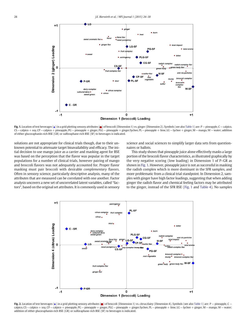<span id="page-5-0"></span>

Fig. 1. Location of test beverages ( $\bullet$ ) in a grid plotting sensory attributes ( $\Box$ ) of broccoli (Dimension 1) vs. ginger (Dimension 2). Symbols (see also [Table 1\)](#page-2-0) are: P — pineapple, C — calpico, CS — calpico + soy, CP — calpico + pineapple, PG — pineapple + ginger, PLG — pineapple + ginger/lychee, PL — pineapple + lime, LG — lychee + ginger, M — mango, W — water; addition of either glucoraphanin-rich BSE (GR) or sulforaphane-rich BSE (SF) to beverages is indicated.

solutions are not appropriate for clinical trials though, due to their unknown potential to attenuate target bioavailability and efficacy. The initial decision to use mango juice as a carrier and masking agent for BSE was based on the perception that the flavor was popular in the target populations for a number of clinical trials, however pairing of mango and broccoli flavors was not adequately accounted for. Proper flavor masking must pair broccoli with desirable complementary flavors. Often in sensory science, particularly descriptive analysis, many of the attributes that are measured can be correlated with one another. Factor analysis uncovers a new set of uncorrelated latent variables, called "factors", based on the original set attributes. It is commonly used in sensory science and social sciences to simplify larger data sets from questionnaires or ballots.

This study shows that pineapple juice alone effectively masks a large portion of the broccoli flavor characteristics, as illustrated graphically by the very negative scoring (low loading) in Dimension 1 of P–GR as shown in Fig. 1. However, pineapple juice is not as successful in masking the radish complex which is more dominant in the SFR samples, and more problematic from a clinical trial standpoint. In Dimension 2, samples with ginger have high factor loadings, suggesting that when adding ginger the radish flavor and chemical feeling factors may be attributed to the ginger, instead of the SFR BSE (Fig. 1 and [Table 4](#page-4-0)). No samples



Fig. 2. Location of test beverages ( $\bullet$ ) in a grid plotting sensory attributes ( $\Box$ ) of broccoli (Dimension 1) vs. citrus/dairy (Dimension 4). Symbols (see also [Table 1\)](#page-2-0) are: P - pineapple, C calpico, CS — calpico + soy, CP — calpico + pineapple, PG — pineapple + ginger, PLG — pineapple + ginger/lychee, PL — pineapple + lime, LG — lychee + ginger, M — mango, W — water; addition of either glucoraphanin-rich BSE (GR) or sulforaphane-rich BSE (SF) to beverages is indicated.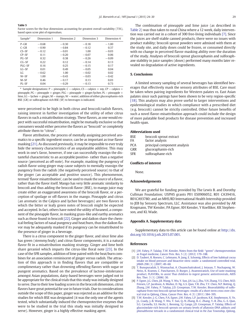#### <span id="page-6-0"></span>Table 5

Factor scores for the four dimensions accounting for greatest overall variability (73%), based upon scree plot of eigenvalues

| Sample <sup>a</sup> | Dimension 1 | Dimension 2 | Dimension 3 | Dimension 4 |
|---------------------|-------------|-------------|-------------|-------------|
| $P - GR$            | $-0.68$     | $-0.30$     | $-0.18$     | $-1.00$     |
| $C - GR$            | $-0.90$     | $-0.84$     | $-0.12$     | 0.37        |
| $CS-SF$             | $-0.12$     | $-0.01$     | 1.00        | $-0.03$     |
| $CP-SF$             | 0.11        | $-0.20$     | $-0.07$     | 0.06        |
| $PG-SF$             | 0.32        | 0.38        | $-0.26$     | $-0.09$     |
| $CG-SF$             | 0.22        | 0.12        | $-0.14$     | 0.13        |
| PLG-SF              | 0.16        | 0.25        | $-0.15$     | 0.17        |
| $LG-SF$             | 0.01        | 0.49        | $-0.05$     | 0.04        |
| LG                  | $-0.62$     | 1.00        | $-0.02$     | 0.02        |
| $W-SF$              | 1.00        | $-0.43$     | $-0.03$     | $-0.42$     |
| $M-SF$              | 0.46        | $-0.17$     | 0.13        | 0.03        |
| PL-SF               | 0.04        | $-0.29$     | $-0.13$     | 0.73        |

Sample designations: P — pineapple, C — calpico, CS — calpico + soy, CP — calpico + pineapple, PG — pineapple + ginger, PLG — pineapple + ginger/lychee, PL — pineapple + lime, LG — lychee + ginger, M — mango, W — water; addition of either glucoraphanin-rich BSE (GR) or sulforaphane-rich BSE (SF) to beverages is indicated.

were perceived to be high in both citrus and broccoli/radish flavors, raising interest in further investigation of the utility of other citrus flavors in such a misattribution strategy. These flavors, as one would expect with successful misattribution, might be mutually exclusive so that consumers would either perceive the flavors as "broccoli" or completely attribute them to "citrus".

Flavor attribution, the process of mentally assigning perceived aromatics to a specific ingredient source, can be as important as true flavor masking [\[21\]](#page-7-0). As discussed previously, it may be impossible to ever truly hide the sensory characteristics of an unpalatable additive. This may work in one's favor, however, if one can successfully reassign the distasteful characteristic to an acceptable/positive- rather than a negative source (perceived as off-note). For example, masking the pungency of radish flavor using ginger may cause subjects to mentally reassign the pungency from the radish (the negatively perceived source) to that of the ginger (an acceptable and positive source). This phenomenon, termed 'flavor misattribution', can be used to mask the source of a flavor, rather than the flavor itself. Mango has very little aromatic similarity to broccoli and thus adding the broccoli flavor (BSE), to mango juice may create either an exaggerated awareness of the broccoli flavor, or a perception of spoilage or off-flavors in the mango. Pineapple and citrus (an aromatic in the Calpico and lychee beverages) are two flavors in which the bitter or leafy green notes of broccoli might be expected and accepted. In fact, others have noted the utility of furaneol, a component of the pineapple flavor, in masking grass-like and earthy aromatics such as those found in broccoli [\[22\]](#page-7-0). Ginger and daikon share the chemical feeling factors of nasal pungency and heat/burn, thus the daikon flavor may be adequately masked if its pungency can be misattributed to the presence of ginger in a beverage.

There is a citrus component to the ginger flavor, and since lime also has green (stemmy/leafy) and citrus flavor components, it is a natural flavor fit in a misattribution masking strategy. Ginger and lime both share geraniol which imparts the citrus-like floral note [\[23\].](#page-7-0) In the case of the SFR samples, addition of lime paired with the heat/burn combines for an association reminiscent of ginger versus radish. The attraction of this approach is in finding flavors that are compatible or complimentary rather than drowning offending flavors with sugar or pungent aromatics. Based on the prevalence of lactose-intolerance amongst Asian populations, dairy-based beverages were judged not to be appropriate for the clinical trials that this study was initially designed to serve. Due to their low loading scores in the broccoli dimension, citrus flavors have great potential for use in future trials. Due to considerations outside the scope of this paper, ginger was rejected as an additive for the studies for which BSE was designated (it was the only one of the agents tested, which substantially induced the chemoprotective enzymes that were to be studied in the trial this study was initially designed to serve). However, ginger is a highly effective masking agent.

The combination of pineapple and lime juice (as described in [Table 2\)](#page-3-0) was thus taken to rural China where a 12 week, daily intervention was carried out in a cohort of 300 free-living individuals [\[7\].](#page-7-0) Since the juices are shelf-stable canned products, there were no issues with product stability; broccoli sprout powders were admixed with them at the study site, and daily doses could be frozen, or consumed directly with no change in perceived flavor-masking ability over the duration of the study. Analyses of broccoli sprout glucoraphanin and sulforaphane stability in juice samples (doses) performed many months later revealed no degradation of active ingredients.

#### 5. Conclusions

A limited sensory sampling of several beverages has identified beverages that effectively mask the sensory attributes of BSE. Care must be taken when pairing ingredients for Western palates vs. East Asian palates since such pairings have been shown to be very region-specific [\[18\]](#page-7-0). This analysis may also prove useful to larger interventions and epidemiological studies in which compliance with a prescribed diet (e.g. broccoli) cannot be strictly controlled. Other future benefits of such a novel flavor-misattribution approach could include the design of more palatable food products for disease prevention and increased health-span.

#### Abbreviations used

| <b>BSE</b> | broccoli sprout extract      |
|------------|------------------------------|
| FA         | factor analysis              |
| <b>PCA</b> | principal component analysis |
| GRR        | glucoraphanin-rich           |
| <b>CER</b> | culforanhane-rich            |

sulforaphane-rich

#### Conflicts of interest

None.

#### Acknowledgements

We are grateful for funding provided by The Lewis B. and Dorothy Cullman Foundation; USPHS grants P01 ES0906052, R01 CA39416, R01CA93780; and an MHS/RD International Health Internship provided to JEB by Sensory Spectrum, LLC. Assistance was also provided by AR Krogmann, TW Kensler, PA Egner, KH Kensler, Y Koelliker, KK Stephenson, and KL Wade.

### Appendix A. Supplementary data

Supplementary data to this article can be found online at [http://dx.](http://dx.doi.org/10.1016/j.nfs.2015.07.001) [doi.org/10.1016/j.nfs.2015.07.001](http://dx.doi.org/10.1016/j.nfs.2015.07.001).

#### References

- [1] [J.W. Fahey, P. Talalay, T.W. Kensler, Notes from the](http://refhub.elsevier.com/S2352-3646(15)30006-7/rf0005) field: "green" chemoprevention [as frugal medicine, Cancer Prev. Res. 5 \(2\) \(2012\) 179](http://refhub.elsevier.com/S2352-3646(15)30006-7/rf0005)–188.
- [2] [D. Taubert, R. Roesen, C. Lehmann, N. Jung, E. Schomig, Effects of low habitual cocoa](http://refhub.elsevier.com/S2352-3646(15)30006-7/rf0010) [intake on blood pressure and bioactive nitric oxide: a randomized controlled trial,](http://refhub.elsevier.com/S2352-3646(15)30006-7/rf0010) [JAMA 298 \(1\) \(2007\) 49](http://refhub.elsevier.com/S2352-3646(15)30006-7/rf0010)–60.
- [3] [T. Bunupuradah, S. Wannachai, A. Chuamchaitrakool, J. Intasan, T. Nuchapong, W.](http://refhub.elsevier.com/S2352-3646(15)30006-7/rf0015) [Neiss, K. Kramm, C. Pancharoen, D. Burger, J. Ananworanich, Use of taste-masking](http://refhub.elsevier.com/S2352-3646(15)30006-7/rf0015) [product, FLAVORx, to assist Thai children to ingest generic antiretrovirals, AIDS](http://refhub.elsevier.com/S2352-3646(15)30006-7/rf0015) [Res. Ther. 3 \(1\) \(2006\) 30](http://refhub.elsevier.com/S2352-3646(15)30006-7/rf0015).
- [4] [P. Egner, J.G. Chen, J.B. Wang, Y. Wu, Y. Sun, J.H. Lu, J. Zhu, Y.H. Zhang, Y.S. Chen, M.D.](http://refhub.elsevier.com/S2352-3646(15)30006-7/rf0020) [Friesen, L.P. Jacobson, A. Muñoz, D. Ng, G.S. Qian, Y.R. Zhu, T.Y. Chen, N.P. Botting, Q.](http://refhub.elsevier.com/S2352-3646(15)30006-7/rf0020) [Zhang, J.W. Fahey, P. Talalay, J.D. Groopman, T.W. Kensler, Bioavailability of sulfo](http://refhub.elsevier.com/S2352-3646(15)30006-7/rf0020)[raphane from two broccoli sprout beverages: results of a short-term cross-over clin](http://refhub.elsevier.com/S2352-3646(15)30006-7/rf0020)[ical trial in Qidong, China, Cancer Prev. Res. 4 \(3\) \(2011\) 384](http://refhub.elsevier.com/S2352-3646(15)30006-7/rf0020)–395.
- [5] [T.W. Kensler, J.-G. Chen, P.A. Egner, J.W. Fahey, L.P. Jacobson, K.K. Stephenson, X. Ye,](http://refhub.elsevier.com/S2352-3646(15)30006-7/rf0025) [J.L. Coady, J.-B. Wang, Y. Wu, Y. Sun, Q.-N. Zhang, B.-C. Zhang, Y.-R. Zhu, G.-S. Qian,](http://refhub.elsevier.com/S2352-3646(15)30006-7/rf0025) [S.G. Carmella, S.S. Hecht, L. Benning, S.J. Gange, J.D. Groopman, P. Talalay, Effects of](http://refhub.elsevier.com/S2352-3646(15)30006-7/rf0025) [glucosinolate-rich broccoli sprouts on urinary levels of a](http://refhub.elsevier.com/S2352-3646(15)30006-7/rf0025)flatoxin-DNA adducts and [phenalthrene tetraols in a randomized clinical trial in He Zuo Township, Qidong,](http://refhub.elsevier.com/S2352-3646(15)30006-7/rf0025)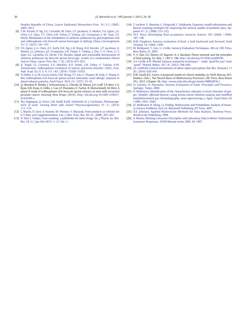<span id="page-7-0"></span>[Peoples Republic of China, Cancer Epidemiol. Biomarkers Prev. 14 \(11\) \(2005\)](http://refhub.elsevier.com/S2352-3646(15)30006-7/rf0025) [2605](http://refhub.elsevier.com/S2352-3646(15)30006-7/rf0025)–2613.

- [6] [T.W. Kensle, D. Ng, S.G. Carmella, M. Chen, L.P. Jacobson, A. Muñoz, P.A. Egner, J.G.](http://refhub.elsevier.com/S2352-3646(15)30006-7/rf0105) [Chen, G.S. Qian, T.Y. Chen, J.W. Fahey, P. Talalay, J.D. Groopman, J.-M. Yuan, S.S.](http://refhub.elsevier.com/S2352-3646(15)30006-7/rf0105) [Hecht, Modulation of the metabolism of airborne pollutants by glucoraphanin-rich](http://refhub.elsevier.com/S2352-3646(15)30006-7/rf0105) [and sulforaphane-rich broccoli sprout beverages in Qidong, China, Carcinogenesis](http://refhub.elsevier.com/S2352-3646(15)30006-7/rf0105) [33 \(1\) \(2012\) 101](http://refhub.elsevier.com/S2352-3646(15)30006-7/rf0105)–107.
- [7] [P.A. Egner, J.-G. Chen, A.T. Zarth, D.K. Ng, J.-B. Wang, K.H. Kensler, L.P. Jacobson, A.](http://refhub.elsevier.com/S2352-3646(15)30006-7/rf0110) [Muñoz, J.L. Johnson, J.D. Groopman, J.W. Fahey, P. Talalay, J. Zhu, T.-Y. Chen, G.-S.](http://refhub.elsevier.com/S2352-3646(15)30006-7/rf0110) [Qian, S.G. Carmella, S.S. Hecht, T.W. Kensler, Rapid and sustainable detoxication of](http://refhub.elsevier.com/S2352-3646(15)30006-7/rf0110) [airborne pollutants by broccoli sprout beverage: results of a randomized clinical](http://refhub.elsevier.com/S2352-3646(15)30006-7/rf0110) [trial in China, Cancer Prev. Res. 7 \(8\) \(2014\) 813](http://refhub.elsevier.com/S2352-3646(15)30006-7/rf0110)–823.
- [8] [K. Singh, S.L. Connors, E.A. Macklin, K.D. Smith, J.W. Fahey, P. Talalay, A.W.](http://refhub.elsevier.com/S2352-3646(15)30006-7/rf0035) [Zimmerman, Sulforaphane treatment of autism spectrum disorder \(ASD\), Proc.](http://refhub.elsevier.com/S2352-3646(15)30006-7/rf0035) [Natl. Acad. Sci. U. S. A. 111 \(43\) \(2014\) 15550](http://refhub.elsevier.com/S2352-3646(15)30006-7/rf0035)–15555.
- [9] [D. Heber, Z. Li, M. Garcia-Lloret, A.M. Wong, T.Y. Lee, G. Thames, M. Krak, Y. Zhang, A.](http://refhub.elsevier.com/S2352-3646(15)30006-7/rf0040) [Nel, Sulforaphane-rich broccoli sprout extract attenuates nasal allergic response to](http://refhub.elsevier.com/S2352-3646(15)30006-7/rf0040) [diesel exhaust particles, Food Funct. 2014 \(5\) \(1975\) 35](http://refhub.elsevier.com/S2352-3646(15)30006-7/rf0040)–41.
- [10] J.J. Alumkal, R. Slottke, J. Schwartzman, G. Cherala, M. Munar, J.N. Graff, T.A. Beer, C.A. Ryan, D.R. Koop, A. Gibbs, L. Gao, J.F. Flamiatos, E. Tucher, R. Kleinschmidt, M. Mori, A phase II study of sulforaphane-rich broccoli sprout extracts in men with recurrent prostate cancer, Investig. New Drugs (2014), http://dx.doi.org/[10.1007/s10637-](http://dx.doi.org/10.1007/s10637-014-0189-z) [014-0189-z](http://dx.doi.org/10.1007/s10637-014-0189-z).
- [11] [M.J. Nagtegaal, J.J. Swen, L.M. Hanff, K.J.M. Schimmel, H.-J. Guchelaar, Pharmacoge](http://refhub.elsevier.com/S2352-3646(15)30006-7/rf0045)[netic of taste: turning bitter pills sweet? Pharmacogenomics 15 \(1\) \(2014\)](http://refhub.elsevier.com/S2352-3646(15)30006-7/rf0045) [111](http://refhub.elsevier.com/S2352-3646(15)30006-7/rf0045)–119.
- [12] [L. Martin, D. Zarn, A. Hansen, W. Wimser, V. Mazurak, Food products as vehicles for](http://refhub.elsevier.com/S2352-3646(15)30006-7/rf0050) [n-3 fatty acid supplementation, Can. J. Diet. Pract. Res. 69 \(4\) \(2008\) 203](http://refhub.elsevier.com/S2352-3646(15)30006-7/rf0050)–207.
- [13] N. Shet, I. Vaidya, Taste masking: a pathfi[nder for bitter drugs, Int. J. Pharm. Sci. Rev.](http://refhub.elsevier.com/S2352-3646(15)30006-7/rf0120) [Res. 18 \(2\) \(Jan-Feb 2013\) 1](http://refhub.elsevier.com/S2352-3646(15)30006-7/rf0120)–12 (No 1).
- [14] [T. Luckow, V. Sheehan, G. Fitzgerald, C. Delahunty, Exposure, health information and](http://refhub.elsevier.com/S2352-3646(15)30006-7/rf0055) fl[avour-masking strategies for improving the sensory quality of probiotic juice, Ap](http://refhub.elsevier.com/S2352-3646(15)30006-7/rf0055)[petite 47 \(3\) \(2006\) 315](http://refhub.elsevier.com/S2352-3646(15)30006-7/rf0055)–323.
- [15] [W.F. Dove, Developing food acceptance research, Science 103 \(2668\) \(1946\)](http://refhub.elsevier.com/S2352-3646(15)30006-7/rf0060) 187–[190.](http://refhub.elsevier.com/S2352-3646(15)30006-7/rf0060)
- [16] [R.M. Pangborn, Sensory evaluation of food: a look backward and forward, Food](http://refhub.elsevier.com/S2352-3646(15)30006-7/rf0065) [Technol. 18 \(1964\) 1309](http://refhub.elsevier.com/S2352-3646(15)30006-7/rf0065).
- [17] [M. Meilgaard, T. Carr, G. Civille, Sensory Evaluation Techniques, 4th ed. CRC Press,](http://refhub.elsevier.com/S2352-3646(15)30006-7/rf0125) [Boca Raton, FL, 2007.](http://refhub.elsevier.com/S2352-3646(15)30006-7/rf0125)
- [18] Y.-Y. Ahn, S.E. Ahnert, J.P. Bagrow, A.-L. Barabasi, Flavor network and the principles of food pairing, Sci. Rep. 1 (2011) 196, http://dx.doi.org[/10.1038/srep00196](http://dx.doi.org/10.1038/srep00196).
- [19] [G.V. Civille, K.N. Oftedal, Sensory evaluation techniques](http://refhub.elsevier.com/S2352-3646(15)30006-7/rf0080) make "good for you" taste "good"[, Physiol. Behav. 107 \(4\) \(2012\) 598](http://refhub.elsevier.com/S2352-3646(15)30006-7/rf0080)–605.
- [20] [J.A. Gottfried, Central mechanisms of odour object perception, Nat. Rev. Neurosci. 11](http://refhub.elsevier.com/S2352-3646(15)30006-7/rf0085) [\(8\) \(2010\) 628](http://refhub.elsevier.com/S2352-3646(15)30006-7/rf0085)–641.
- [21] D.M. Small, B.G. Green, A proposed model of a flavor modality, in: M.M. Murray, M.T. Wallace (Eds.), The Neural Bases of Multisensory Processes, CRC Press, Boca Raton (FL), 2012 (Chapter 36, <http://www.ncbi.nlm.nih.gov/books/NBK92876/>).
- [22] [H. Lawless, H. Heymann, Sensory Evaluation of Food: Principles and Practices,](http://refhub.elsevier.com/S2352-3646(15)30006-7/rf0135) [Springer, Tokyo, 2009.](http://refhub.elsevier.com/S2352-3646(15)30006-7/rf0135)
- [23] O. Nishimura, Identifi[cation of the characteristic odorants in fresh rhizomes of gin](http://refhub.elsevier.com/S2352-3646(15)30006-7/rf0095)ger (Zingiber officinale [Roscoe\) using aroma extract dilution analysis and modi](http://refhub.elsevier.com/S2352-3646(15)30006-7/rf0095)fied multidimensional gas chromatography–[mass spectroscopy, J. Agric. Food Chem. 43](http://refhub.elsevier.com/S2352-3646(15)30006-7/rf0095) [\(1996\) 2941](http://refhub.elsevier.com/S2352-3646(15)30006-7/rf0095)–2945.
- [24] [J.F. Melleunet, R. Xiong, C.J. Findlay, Multivariate and Probabilistic Analysis of Senso](http://refhub.elsevier.com/S2352-3646(15)30006-7/rf0100)[ry Science Problems, First ed. Blackwell Publishing, IFT Press, 2007.](http://refhub.elsevier.com/S2352-3646(15)30006-7/rf0100)
- [25] [D.E. Johnson, Applied Multivariate Methods for Data Analysis, Duxbury Press:](http://refhub.elsevier.com/S2352-3646(15)30006-7/rf85000) [Brooks/Cole Publishing, 1998](http://refhub.elsevier.com/S2352-3646(15)30006-7/rf85000).
- [26] [A. Munoz, Relating Consumer Descriptive and Laboratory Data to Better Understand](http://refhub.elsevier.com/S2352-3646(15)30006-7/rf0145) [Consumer Responses, ASTM Manual series, MNL 30, 1997](http://refhub.elsevier.com/S2352-3646(15)30006-7/rf0145).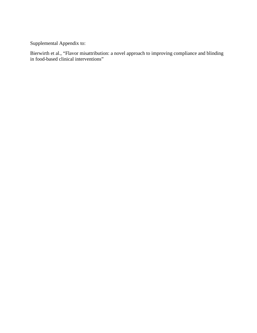Supplemental Appendix to:

Bierwirth et al., "Flavor misattribution: a novel approach to improving compliance and blinding in food-based clinical interventions"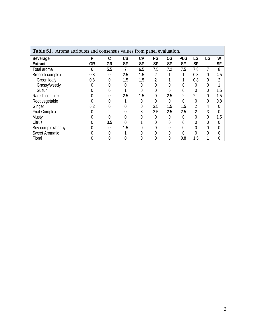| <b>Table S1.</b> Aroma attributes and consensus values from panel evaluation. |     |     |           |     |                |           |            |                |                |           |  |
|-------------------------------------------------------------------------------|-----|-----|-----------|-----|----------------|-----------|------------|----------------|----------------|-----------|--|
| Beverage                                                                      | P   | C   | CS        | СP  | PG             | CG        | <b>PLG</b> | LG             | LG             | W         |  |
| <b>Extract</b>                                                                | GR  | GR  | <b>SF</b> | SF  | <b>SF</b>      | <b>SF</b> | <b>SF</b>  | <b>SF</b>      | $\blacksquare$ | <b>SF</b> |  |
| Total aroma                                                                   | 6   | 5.5 |           | 6.5 | 7.5            | 7.2       | 7.5        | 7.8            |                | 8         |  |
| Broccoli complex                                                              | 0.8 | 0   | 2.5       | 1.5 | 2              |           |            | 0.8            | 0              | 4.5       |  |
| Green leafy                                                                   | 0.8 | 0   | 1.5       | 1.5 | $\overline{2}$ |           |            | 0.8            | 0              |           |  |
| Grassy/weedy                                                                  |     |     |           |     |                |           |            |                |                |           |  |
| Sulfur                                                                        |     |     |           |     |                |           | 0          | 0              | 0              | 1.5       |  |
| Radish complex                                                                |     |     | 2.5       | 1.5 | 0              | 2.5       | 2          | 2.2            | $\overline{0}$ | 1.5       |  |
| Root vegetable                                                                |     |     |           |     |                | $\Omega$  | 0          | 0              | 0              | 0.8       |  |
| Ginger                                                                        | 5.2 |     |           | 0   | 3.5            | 1.5       | 1.5        | $\overline{2}$ | 4              | 0         |  |
| <b>Fruit Complex</b>                                                          |     |     |           |     | 2.5            | 2.5       | 2.5        | 2              |                |           |  |
| Musty                                                                         |     |     |           |     |                |           | 0          | 0              | 0              | 1.5       |  |
| Citrus                                                                        |     | 3.5 |           |     |                |           |            | 0              | 0              |           |  |
| Soy complex/beany                                                             |     |     | 1.5       |     |                |           |            |                |                |           |  |
| <b>Sweet Aromatic</b>                                                         |     |     |           |     |                |           |            | 0              |                |           |  |
| Floral                                                                        |     |     |           |     |                |           | 0.8        | 1.5            |                |           |  |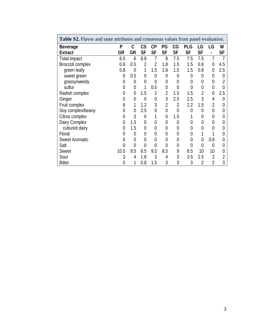| <b>Table S2.</b> Flavor and taste attributes and consensus values from panel evaluation. |      |                |                |                |                |                |                |                |                |     |  |  |  |
|------------------------------------------------------------------------------------------|------|----------------|----------------|----------------|----------------|----------------|----------------|----------------|----------------|-----|--|--|--|
| <b>Beverage</b>                                                                          | P    | C              | CS             | CP             | PG             | СG             | PLG            | LG             | LG             | W   |  |  |  |
| <b>Extract</b>                                                                           | GR   | GR             | <b>SF</b>      | <b>SF</b>      | SF             | <b>SF</b>      | <b>SF</b>      | SF             | $\overline{a}$ | SF  |  |  |  |
| Total impact                                                                             | 6.5  | 6              | 6.8            | 7              | 8              | 7.5            | 7.5            | 7.5            | 7              |     |  |  |  |
| Broccoli complex                                                                         | 0.8  | 0.5            | $\overline{2}$ | 2              | 1.8            | 1.5            | 1.5            | 0.8            | 0              | 4.5 |  |  |  |
| green leafy                                                                              | 0.8  | $\overline{0}$ | 1              | 1.5            | 1.8            | 1.5            | 1.5            | 0.8            | 0              | 2.5 |  |  |  |
| sweet green                                                                              | 0    | 0.5            | 0              | $\overline{0}$ | $\overline{0}$ | 0              | 0              | 0              | 0              | 0   |  |  |  |
| grassy/weedy                                                                             | 0    | $\overline{0}$ | 0              | $\overline{0}$ | $\overline{0}$ | 0              | 0              | 0              | 0              | 2   |  |  |  |
| sulfur                                                                                   | 0    | $\overline{0}$ | 1              | 0.5            | $\overline{0}$ | $\overline{0}$ | 0              | 0              | 0              | 0   |  |  |  |
| Radish complex                                                                           | 0    | $\overline{0}$ | 1.5            | $\overline{2}$ | $\overline{2}$ | 1.5            | 1.5            | 2              | 0              | 2.5 |  |  |  |
| Ginger                                                                                   | 0    | $\overline{0}$ | $\overline{0}$ | $\overline{0}$ | 3              | 2.5            | 2.5            | 3              | 4              | 0   |  |  |  |
| Fruit complex                                                                            | 6    |                | 1.2            | 3              | $\overline{2}$ | $\overline{2}$ | 2.2            | 1.5            | 2              |     |  |  |  |
| Soy complex/beany                                                                        | 0    | 0              | 2.5            | 0              | $\overline{0}$ | $\overline{0}$ | $\overline{0}$ | 0              | 0              |     |  |  |  |
| Citrus complex                                                                           | 0    | 3              | $\overline{0}$ | 1              | $\Omega$       | 1.5            |                | 0              | 0              |     |  |  |  |
| Dairy Complex                                                                            | 0    | 1.5            | 0              | $\overline{0}$ | $\overline{0}$ | $\overline{0}$ | $\overline{0}$ | $\overline{0}$ | 0              |     |  |  |  |
| cultured dairy                                                                           | 0    | 1.5            | 0              | 0              | 0              | 0              | 0              | 0              | 0              |     |  |  |  |
| Floral                                                                                   | 0    | 0              | 0              | $\overline{0}$ | $\overline{0}$ | $\overline{0}$ | 0              |                | 1              |     |  |  |  |
| <b>Sweet Aromatic</b>                                                                    | 0    | $\overline{0}$ | 0              | $\overline{0}$ | 0              | 0              | $\overline{0}$ | 0              | 0.8            |     |  |  |  |
| Salt                                                                                     |      | $\overline{0}$ | 0              | 0              | $\Omega$       | $\overline{0}$ | 0              | 0              | 0              |     |  |  |  |
| Sweet                                                                                    | 10.5 | 9.5            | 8.5            | 9.5            | 8.5            | 9              | 8.5            | 10             | 10             |     |  |  |  |
| Sour                                                                                     | 3    | 4              | 1.8            | 3              | 4              | 3              | 3.5            | 2.5            | $\overline{2}$ |     |  |  |  |
| <b>Bitter</b>                                                                            | 0    |                | 0.8            | 1.5            | 3              | 3              | 3              | $\overline{2}$ | $\overline{2}$ | 3   |  |  |  |